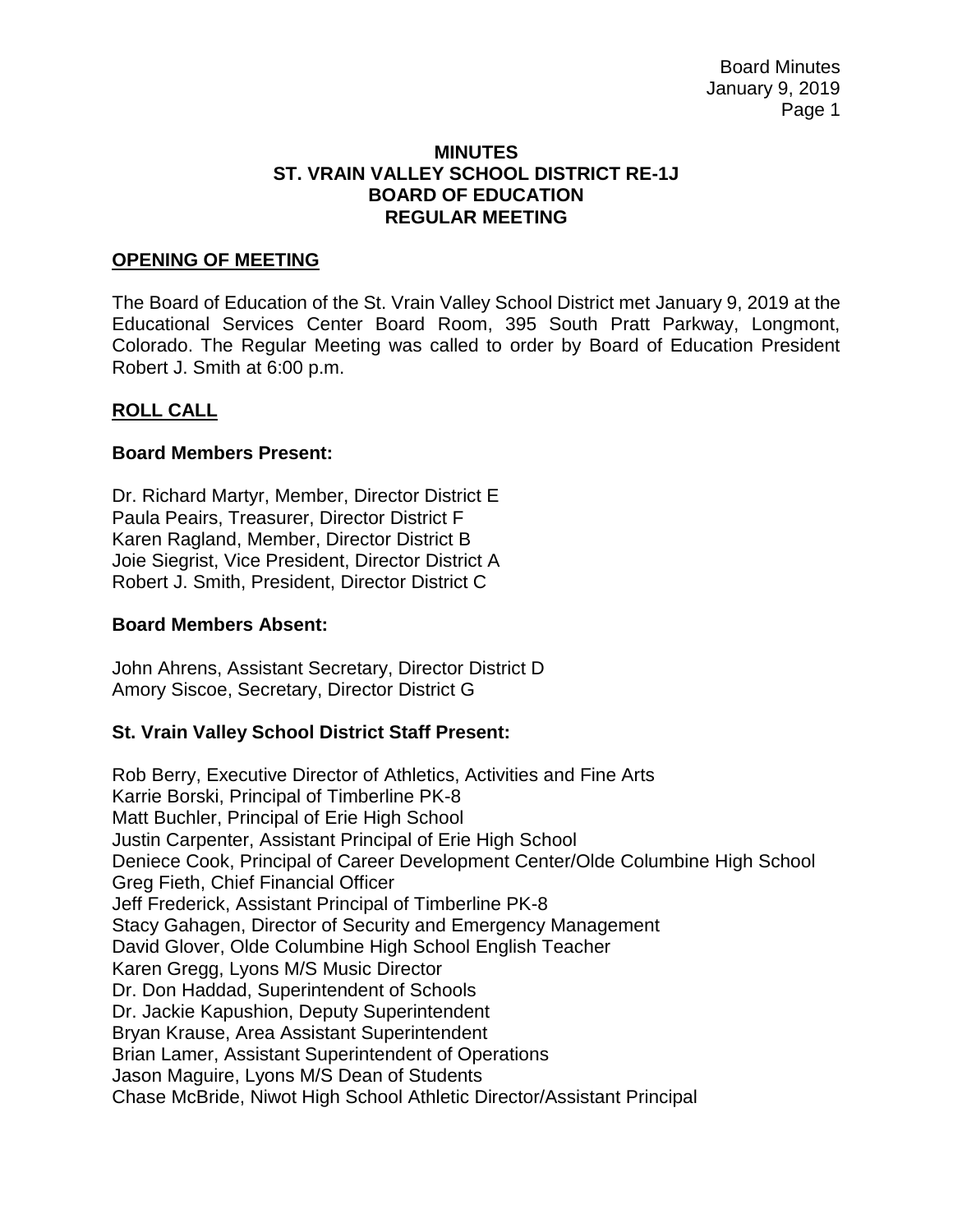#### **MINUTES ST. VRAIN VALLEY SCHOOL DISTRICT RE-1J BOARD OF EDUCATION REGULAR MEETING**

#### **OPENING OF MEETING**

The Board of Education of the St. Vrain Valley School District met January 9, 2019 at the Educational Services Center Board Room, 395 South Pratt Parkway, Longmont, Colorado. The Regular Meeting was called to order by Board of Education President Robert J. Smith at 6:00 p.m.

#### **ROLL CALL**

#### **Board Members Present:**

Dr. Richard Martyr, Member, Director District E Paula Peairs, Treasurer, Director District F Karen Ragland, Member, Director District B Joie Siegrist, Vice President, Director District A Robert J. Smith, President, Director District C

#### **Board Members Absent:**

John Ahrens, Assistant Secretary, Director District D Amory Siscoe, Secretary, Director District G

### **St. Vrain Valley School District Staff Present:**

Rob Berry, Executive Director of Athletics, Activities and Fine Arts Karrie Borski, Principal of Timberline PK-8 Matt Buchler, Principal of Erie High School Justin Carpenter, Assistant Principal of Erie High School Deniece Cook, Principal of Career Development Center/Olde Columbine High School Greg Fieth, Chief Financial Officer Jeff Frederick, Assistant Principal of Timberline PK-8 Stacy Gahagen, Director of Security and Emergency Management David Glover, Olde Columbine High School English Teacher Karen Gregg, Lyons M/S Music Director Dr. Don Haddad, Superintendent of Schools Dr. Jackie Kapushion, Deputy Superintendent Bryan Krause, Area Assistant Superintendent Brian Lamer, Assistant Superintendent of Operations Jason Maguire, Lyons M/S Dean of Students Chase McBride, Niwot High School Athletic Director/Assistant Principal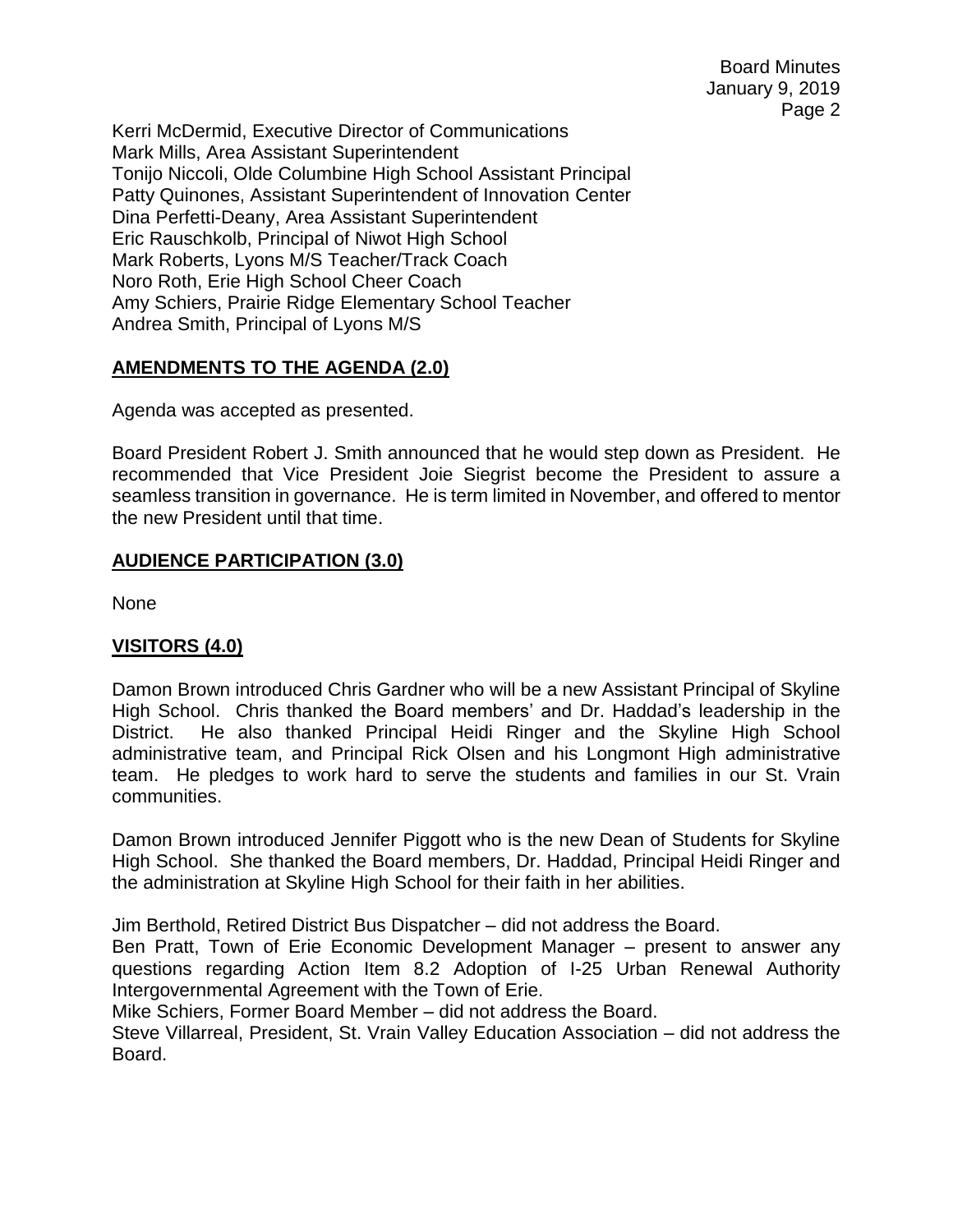Kerri McDermid, Executive Director of Communications Mark Mills, Area Assistant Superintendent Tonijo Niccoli, Olde Columbine High School Assistant Principal Patty Quinones, Assistant Superintendent of Innovation Center Dina Perfetti-Deany, Area Assistant Superintendent Eric Rauschkolb, Principal of Niwot High School Mark Roberts, Lyons M/S Teacher/Track Coach Noro Roth, Erie High School Cheer Coach Amy Schiers, Prairie Ridge Elementary School Teacher Andrea Smith, Principal of Lyons M/S

# **AMENDMENTS TO THE AGENDA (2.0)**

Agenda was accepted as presented.

Board President Robert J. Smith announced that he would step down as President. He recommended that Vice President Joie Siegrist become the President to assure a seamless transition in governance. He is term limited in November, and offered to mentor the new President until that time.

### **AUDIENCE PARTICIPATION (3.0)**

None

### **VISITORS (4.0)**

Damon Brown introduced Chris Gardner who will be a new Assistant Principal of Skyline High School. Chris thanked the Board members' and Dr. Haddad's leadership in the District. He also thanked Principal Heidi Ringer and the Skyline High School administrative team, and Principal Rick Olsen and his Longmont High administrative team. He pledges to work hard to serve the students and families in our St. Vrain communities.

Damon Brown introduced Jennifer Piggott who is the new Dean of Students for Skyline High School. She thanked the Board members, Dr. Haddad, Principal Heidi Ringer and the administration at Skyline High School for their faith in her abilities.

Jim Berthold, Retired District Bus Dispatcher – did not address the Board.

Ben Pratt, Town of Erie Economic Development Manager – present to answer any questions regarding Action Item 8.2 Adoption of I-25 Urban Renewal Authority Intergovernmental Agreement with the Town of Erie.

Mike Schiers, Former Board Member – did not address the Board.

Steve Villarreal, President, St. Vrain Valley Education Association – did not address the Board.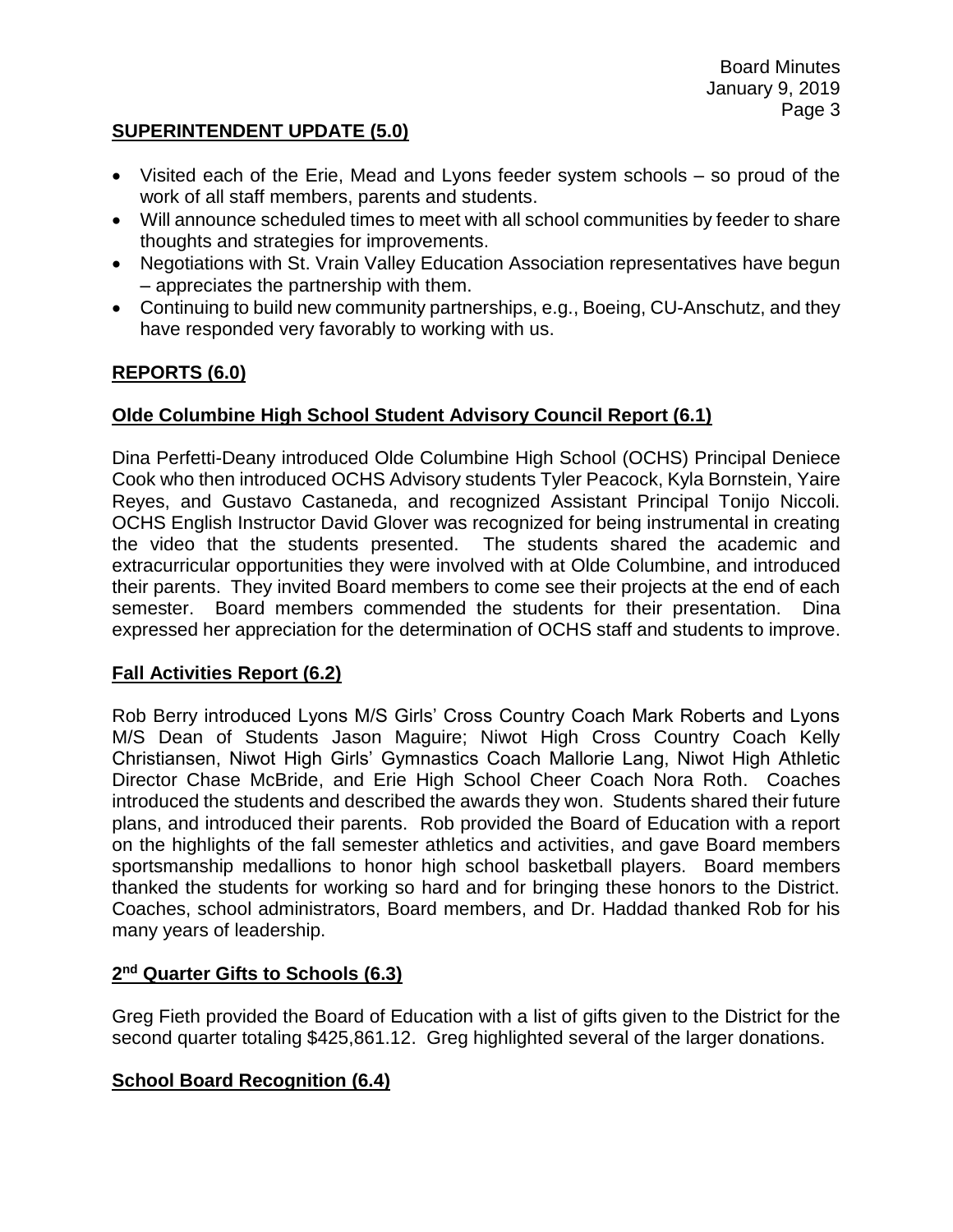## **SUPERINTENDENT UPDATE (5.0)**

- Visited each of the Erie, Mead and Lyons feeder system schools so proud of the work of all staff members, parents and students.
- Will announce scheduled times to meet with all school communities by feeder to share thoughts and strategies for improvements.
- Negotiations with St. Vrain Valley Education Association representatives have begun – appreciates the partnership with them.
- Continuing to build new community partnerships, e.g., Boeing, CU-Anschutz, and they have responded very favorably to working with us.

### **REPORTS (6.0)**

### **Olde Columbine High School Student Advisory Council Report (6.1)**

Dina Perfetti-Deany introduced Olde Columbine High School (OCHS) Principal Deniece Cook who then introduced OCHS Advisory students Tyler Peacock, Kyla Bornstein, Yaire Reyes, and Gustavo Castaneda, and recognized Assistant Principal Tonijo Niccoli. OCHS English Instructor David Glover was recognized for being instrumental in creating the video that the students presented. The students shared the academic and extracurricular opportunities they were involved with at Olde Columbine, and introduced their parents. They invited Board members to come see their projects at the end of each semester. Board members commended the students for their presentation. Dina expressed her appreciation for the determination of OCHS staff and students to improve.

### **Fall Activities Report (6.2)**

Rob Berry introduced Lyons M/S Girls' Cross Country Coach Mark Roberts and Lyons M/S Dean of Students Jason Maguire; Niwot High Cross Country Coach Kelly Christiansen, Niwot High Girls' Gymnastics Coach Mallorie Lang, Niwot High Athletic Director Chase McBride, and Erie High School Cheer Coach Nora Roth. Coaches introduced the students and described the awards they won. Students shared their future plans, and introduced their parents. Rob provided the Board of Education with a report on the highlights of the fall semester athletics and activities, and gave Board members sportsmanship medallions to honor high school basketball players. Board members thanked the students for working so hard and for bringing these honors to the District. Coaches, school administrators, Board members, and Dr. Haddad thanked Rob for his many years of leadership.

### **2 nd Quarter Gifts to Schools (6.3)**

Greg Fieth provided the Board of Education with a list of gifts given to the District for the second quarter totaling \$425,861.12. Greg highlighted several of the larger donations.

### **School Board Recognition (6.4)**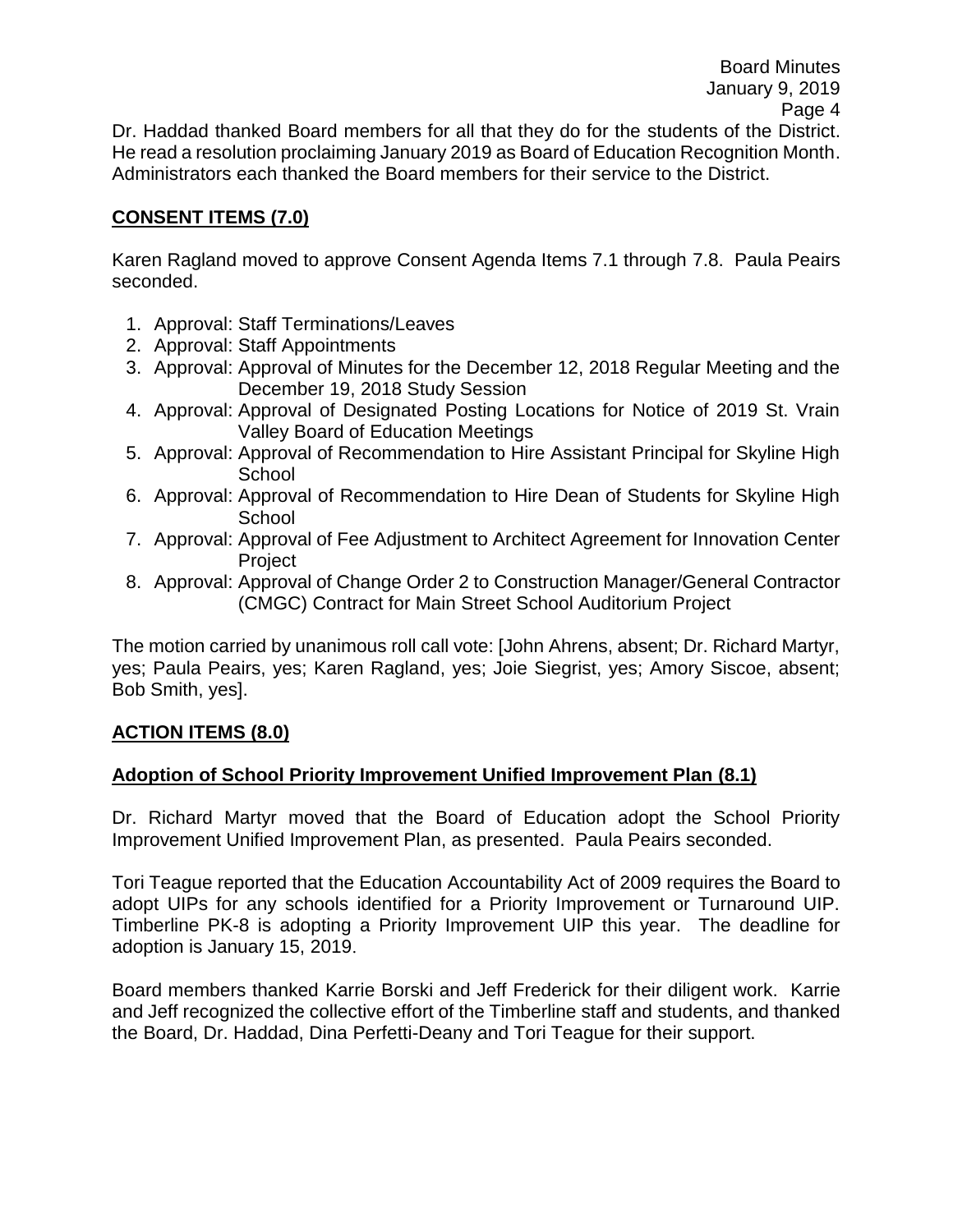Dr. Haddad thanked Board members for all that they do for the students of the District. He read a resolution proclaiming January 2019 as Board of Education Recognition Month. Administrators each thanked the Board members for their service to the District.

## **CONSENT ITEMS (7.0)**

Karen Ragland moved to approve Consent Agenda Items 7.1 through 7.8. Paula Peairs seconded.

- 1. Approval: Staff Terminations/Leaves
- 2. Approval: Staff Appointments
- 3. Approval: Approval of Minutes for the December 12, 2018 Regular Meeting and the December 19, 2018 Study Session
- 4. Approval: Approval of Designated Posting Locations for Notice of 2019 St. Vrain Valley Board of Education Meetings
- 5. Approval: Approval of Recommendation to Hire Assistant Principal for Skyline High **School**
- 6. Approval: Approval of Recommendation to Hire Dean of Students for Skyline High School
- 7. Approval: Approval of Fee Adjustment to Architect Agreement for Innovation Center Project
- 8. Approval: Approval of Change Order 2 to Construction Manager/General Contractor (CMGC) Contract for Main Street School Auditorium Project

The motion carried by unanimous roll call vote: [John Ahrens, absent; Dr. Richard Martyr, yes; Paula Peairs, yes; Karen Ragland, yes; Joie Siegrist, yes; Amory Siscoe, absent; Bob Smith, yes].

# **ACTION ITEMS (8.0)**

### **Adoption of School Priority Improvement Unified Improvement Plan (8.1)**

Dr. Richard Martyr moved that the Board of Education adopt the School Priority Improvement Unified Improvement Plan, as presented. Paula Peairs seconded.

Tori Teague reported that the Education Accountability Act of 2009 requires the Board to adopt UIPs for any schools identified for a Priority Improvement or Turnaround UIP. Timberline PK-8 is adopting a Priority Improvement UIP this year. The deadline for adoption is January 15, 2019.

Board members thanked Karrie Borski and Jeff Frederick for their diligent work. Karrie and Jeff recognized the collective effort of the Timberline staff and students, and thanked the Board, Dr. Haddad, Dina Perfetti-Deany and Tori Teague for their support.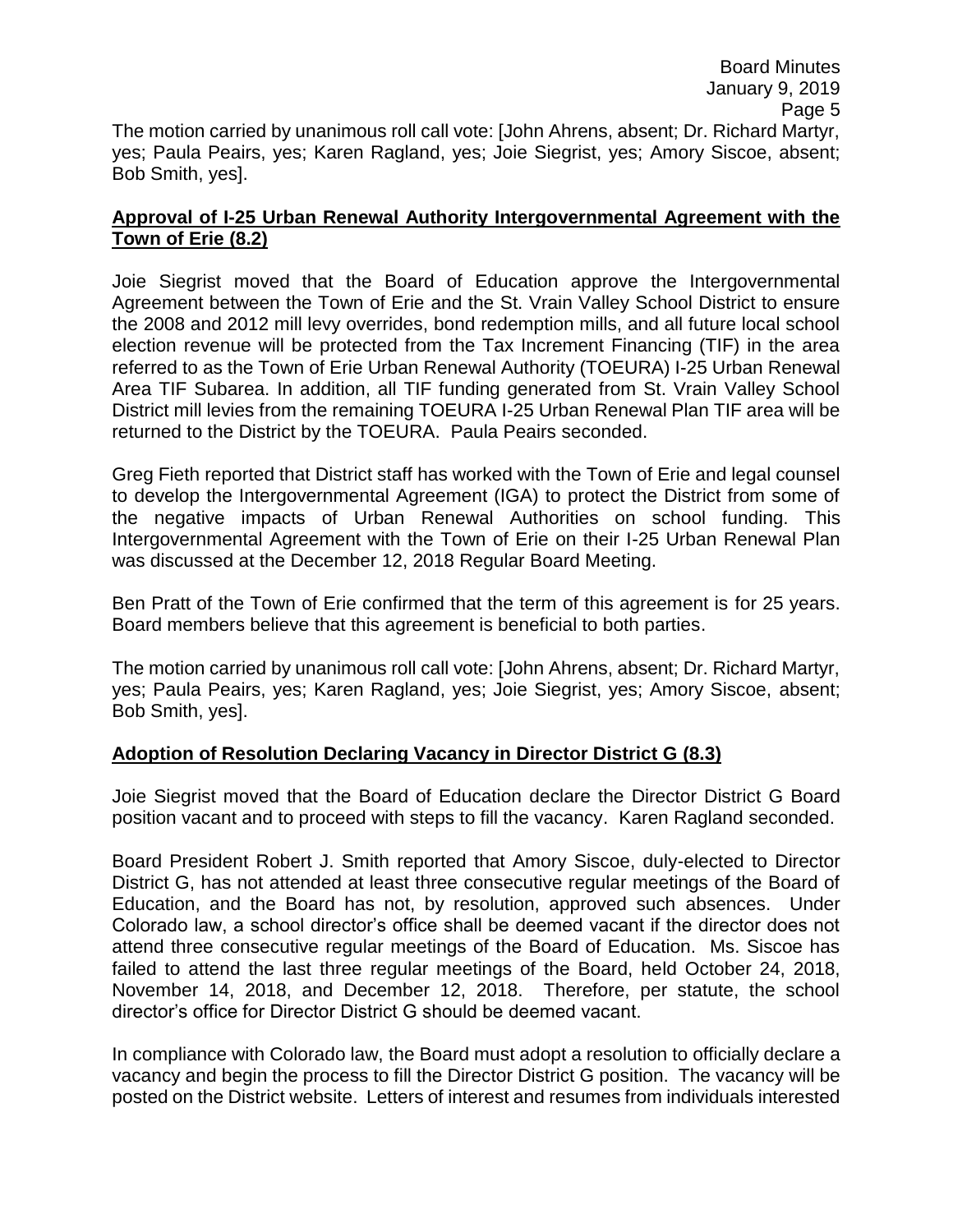### **Approval of I-25 Urban Renewal Authority Intergovernmental Agreement with the Town of Erie (8.2)**

Joie Siegrist moved that the Board of Education approve the Intergovernmental Agreement between the Town of Erie and the St. Vrain Valley School District to ensure the 2008 and 2012 mill levy overrides, bond redemption mills, and all future local school election revenue will be protected from the Tax Increment Financing (TIF) in the area referred to as the Town of Erie Urban Renewal Authority (TOEURA) I-25 Urban Renewal Area TIF Subarea. In addition, all TIF funding generated from St. Vrain Valley School District mill levies from the remaining TOEURA I-25 Urban Renewal Plan TIF area will be returned to the District by the TOEURA. Paula Peairs seconded.

Greg Fieth reported that District staff has worked with the Town of Erie and legal counsel to develop the Intergovernmental Agreement (IGA) to protect the District from some of the negative impacts of Urban Renewal Authorities on school funding. This Intergovernmental Agreement with the Town of Erie on their I-25 Urban Renewal Plan was discussed at the December 12, 2018 Regular Board Meeting.

Ben Pratt of the Town of Erie confirmed that the term of this agreement is for 25 years. Board members believe that this agreement is beneficial to both parties.

The motion carried by unanimous roll call vote: [John Ahrens, absent; Dr. Richard Martyr, yes; Paula Peairs, yes; Karen Ragland, yes; Joie Siegrist, yes; Amory Siscoe, absent; Bob Smith, yes].

# **Adoption of Resolution Declaring Vacancy in Director District G (8.3)**

Joie Siegrist moved that the Board of Education declare the Director District G Board position vacant and to proceed with steps to fill the vacancy. Karen Ragland seconded.

Board President Robert J. Smith reported that Amory Siscoe, duly-elected to Director District G, has not attended at least three consecutive regular meetings of the Board of Education, and the Board has not, by resolution, approved such absences. Under Colorado law, a school director's office shall be deemed vacant if the director does not attend three consecutive regular meetings of the Board of Education. Ms. Siscoe has failed to attend the last three regular meetings of the Board, held October 24, 2018, November 14, 2018, and December 12, 2018. Therefore, per statute, the school director's office for Director District G should be deemed vacant.

In compliance with Colorado law, the Board must adopt a resolution to officially declare a vacancy and begin the process to fill the Director District G position. The vacancy will be posted on the District website. Letters of interest and resumes from individuals interested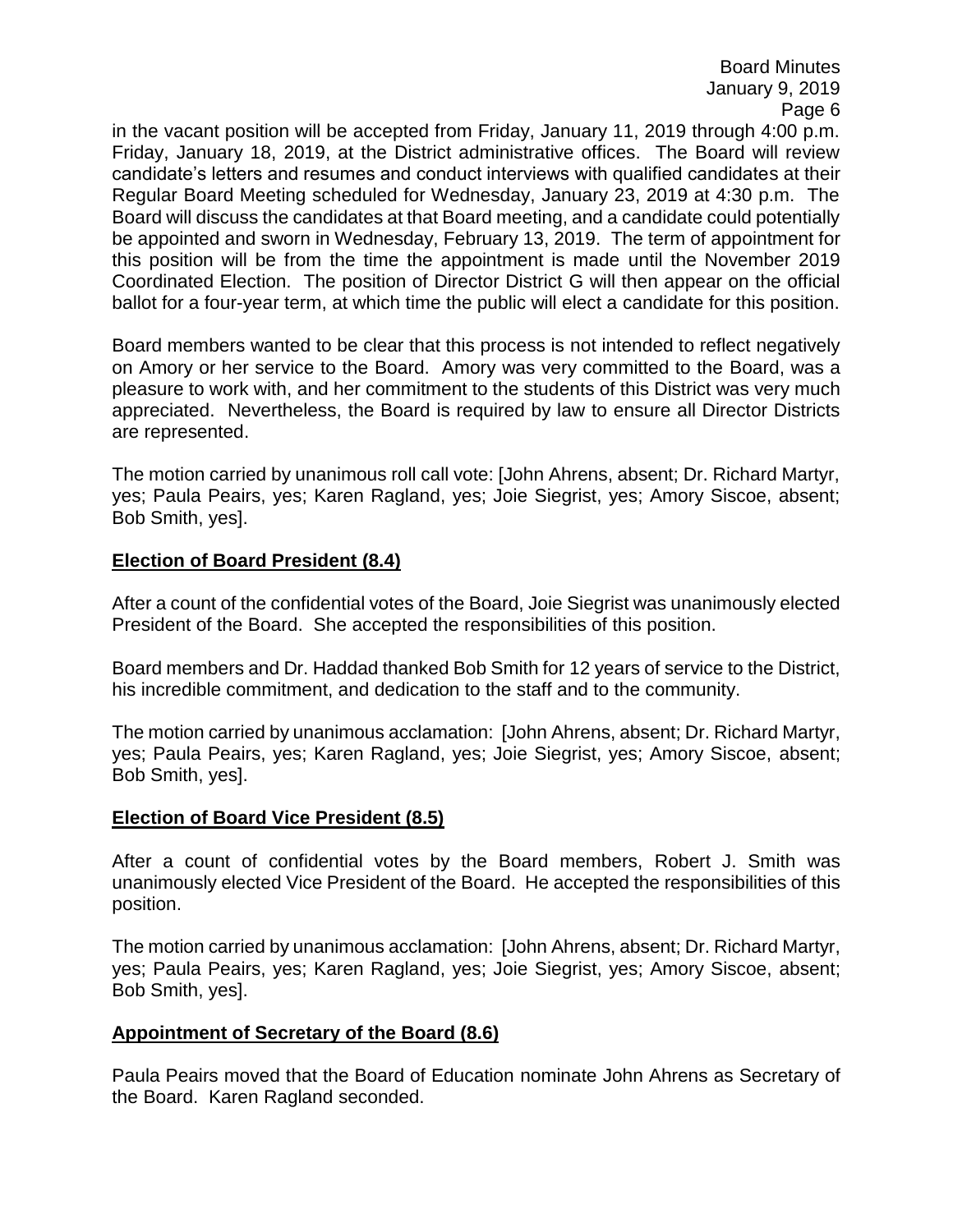in the vacant position will be accepted from Friday, January 11, 2019 through 4:00 p.m. Friday, January 18, 2019, at the District administrative offices. The Board will review candidate's letters and resumes and conduct interviews with qualified candidates at their Regular Board Meeting scheduled for Wednesday, January 23, 2019 at 4:30 p.m. The Board will discuss the candidates at that Board meeting, and a candidate could potentially be appointed and sworn in Wednesday, February 13, 2019. The term of appointment for this position will be from the time the appointment is made until the November 2019 Coordinated Election. The position of Director District G will then appear on the official ballot for a four-year term, at which time the public will elect a candidate for this position.

Board members wanted to be clear that this process is not intended to reflect negatively on Amory or her service to the Board. Amory was very committed to the Board, was a pleasure to work with, and her commitment to the students of this District was very much appreciated. Nevertheless, the Board is required by law to ensure all Director Districts are represented.

The motion carried by unanimous roll call vote: [John Ahrens, absent; Dr. Richard Martyr, yes; Paula Peairs, yes; Karen Ragland, yes; Joie Siegrist, yes; Amory Siscoe, absent; Bob Smith, yes].

### **Election of Board President (8.4)**

After a count of the confidential votes of the Board, Joie Siegrist was unanimously elected President of the Board. She accepted the responsibilities of this position.

Board members and Dr. Haddad thanked Bob Smith for 12 years of service to the District, his incredible commitment, and dedication to the staff and to the community.

The motion carried by unanimous acclamation: [John Ahrens, absent; Dr. Richard Martyr, yes; Paula Peairs, yes; Karen Ragland, yes; Joie Siegrist, yes; Amory Siscoe, absent; Bob Smith, yes].

### **Election of Board Vice President (8.5)**

After a count of confidential votes by the Board members, Robert J. Smith was unanimously elected Vice President of the Board. He accepted the responsibilities of this position.

The motion carried by unanimous acclamation: [John Ahrens, absent; Dr. Richard Martyr, yes; Paula Peairs, yes; Karen Ragland, yes; Joie Siegrist, yes; Amory Siscoe, absent; Bob Smith, yes].

### **Appointment of Secretary of the Board (8.6)**

Paula Peairs moved that the Board of Education nominate John Ahrens as Secretary of the Board. Karen Ragland seconded.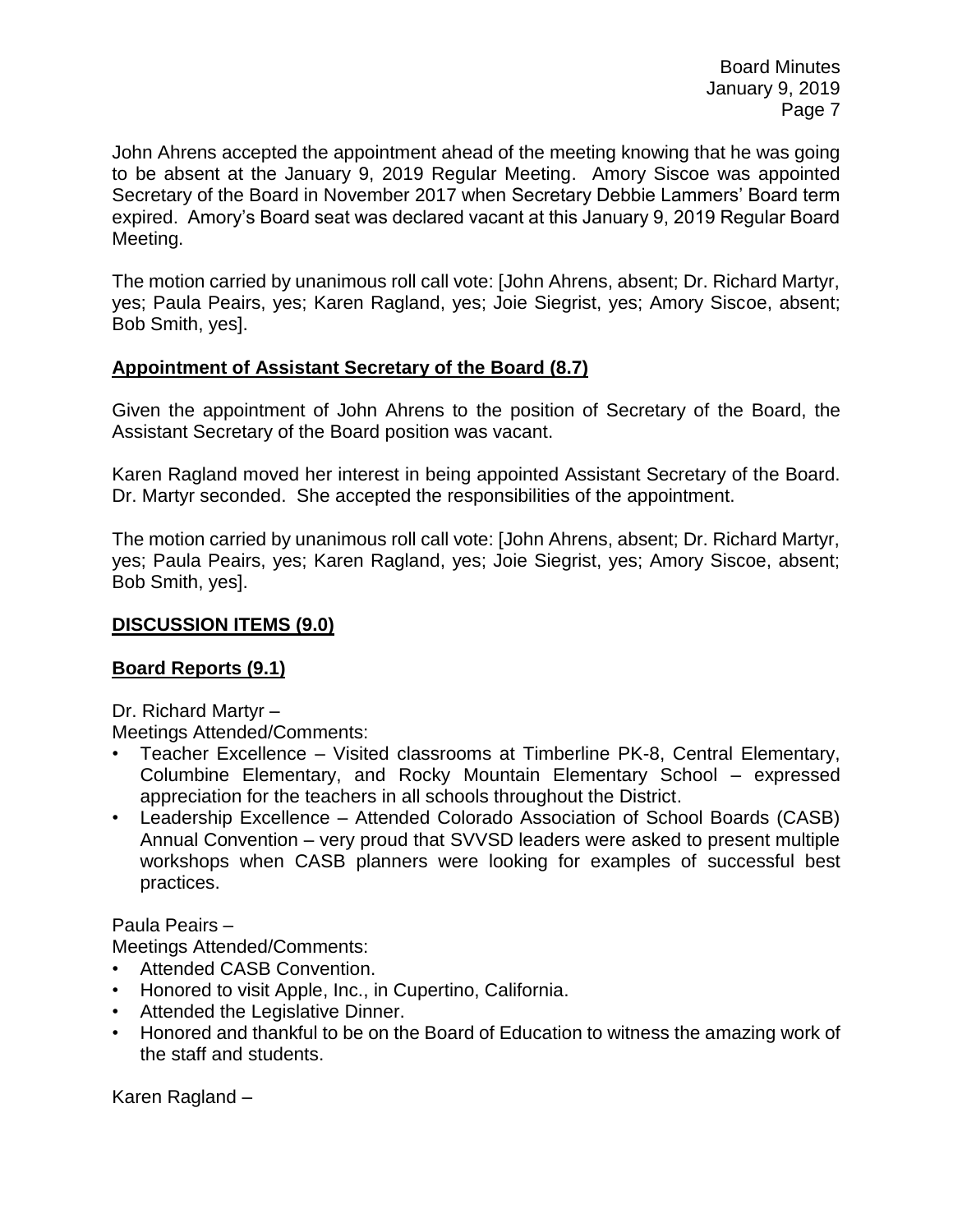John Ahrens accepted the appointment ahead of the meeting knowing that he was going to be absent at the January 9, 2019 Regular Meeting. Amory Siscoe was appointed Secretary of the Board in November 2017 when Secretary Debbie Lammers' Board term expired. Amory's Board seat was declared vacant at this January 9, 2019 Regular Board Meeting.

The motion carried by unanimous roll call vote: [John Ahrens, absent; Dr. Richard Martyr, yes; Paula Peairs, yes; Karen Ragland, yes; Joie Siegrist, yes; Amory Siscoe, absent; Bob Smith, yes].

### **Appointment of Assistant Secretary of the Board (8.7)**

Given the appointment of John Ahrens to the position of Secretary of the Board, the Assistant Secretary of the Board position was vacant.

Karen Ragland moved her interest in being appointed Assistant Secretary of the Board. Dr. Martyr seconded. She accepted the responsibilities of the appointment.

The motion carried by unanimous roll call vote: [John Ahrens, absent; Dr. Richard Martyr, yes; Paula Peairs, yes; Karen Ragland, yes; Joie Siegrist, yes; Amory Siscoe, absent; Bob Smith, yes].

### **DISCUSSION ITEMS (9.0)**

# **Board Reports (9.1)**

Dr. Richard Martyr –

Meetings Attended/Comments:

- Teacher Excellence Visited classrooms at Timberline PK-8, Central Elementary, Columbine Elementary, and Rocky Mountain Elementary School – expressed appreciation for the teachers in all schools throughout the District.
- Leadership Excellence Attended Colorado Association of School Boards (CASB) Annual Convention – very proud that SVVSD leaders were asked to present multiple workshops when CASB planners were looking for examples of successful best practices.

Paula Peairs –

Meetings Attended/Comments:

- Attended CASB Convention.
- Honored to visit Apple, Inc., in Cupertino, California.
- Attended the Legislative Dinner.
- Honored and thankful to be on the Board of Education to witness the amazing work of the staff and students.

Karen Ragland –